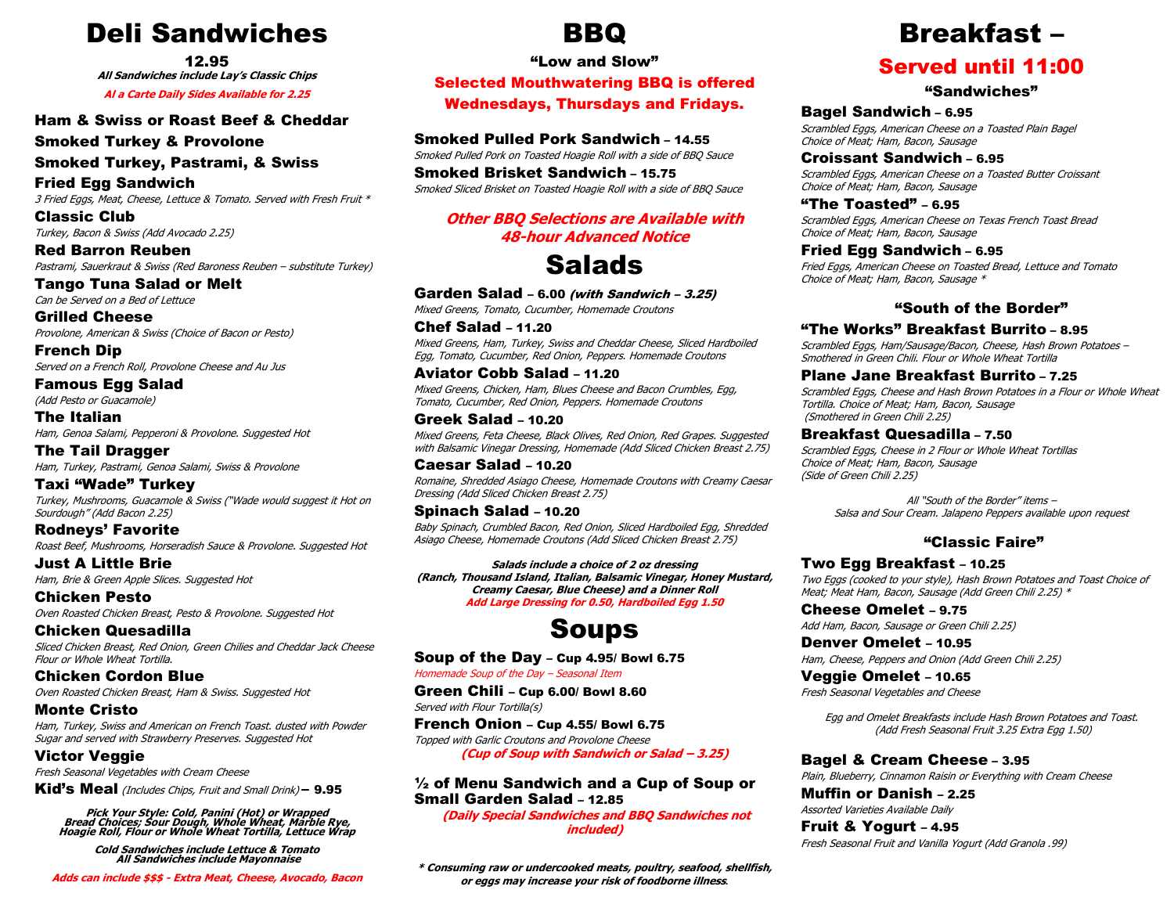## Deli Sandwiches

12.95

All Sandwiches include Lay's Classic Chips

Al a Carte Daily Sides Available for 2.25

#### Ham & Swiss or Roast Beef & Cheddar

Smoked Turkey & Provolone

Smoked Turkey, Pastrami, & Swiss

Fried Egg Sandwich 3 Fried Eggs, Meat, Cheese, Lettuce & Tomato. Served with Fresh Fruit \*

Classic Club Turkey, Bacon & Swiss (Add Avocado 2.25)

Red Barron Reuben Pastrami, Sauerkraut & Swiss (Red Baroness Reuben – substitute Turkey)

Tango Tuna Salad or Melt Can be Served on a Bed of Lettuce

Grilled Cheese Provolone, American & Swiss (Choice of Bacon or Pesto)

French Dip Served on a French Roll, Provolone Cheese and Au Jus

Famous Egg Salad (Add Pesto or Guacamole)

The Italian Ham, Genoa Salami, Pepperoni & Provolone. Suggested Hot

The Tail Dragger Ham, Turkey, Pastrami, Genoa Salami, Swiss & Provolone

Taxi "Wade" Turkey Turkey, Mushrooms, Guacamole & Swiss ("Wade would suggest it Hot on Sourdough" (Add Bacon 2.25)

Rodneys' Favorite Roast Beef, Mushrooms, Horseradish Sauce & Provolone. Suggested Hot

Just A Little Brie Ham, Brie & Green Apple Slices. Suggested Hot

Chicken Pesto Oven Roasted Chicken Breast, Pesto & Provolone. Suggested Hot

Chicken Quesadilla Sliced Chicken Breast, Red Onion, Green Chilies and Cheddar Jack Cheese Flour or Whole Wheat Tortilla.

Chicken Cordon Blue Oven Roasted Chicken Breast, Ham & Swiss, Suggested Hot

Monte Cristo Ham, Turkey, Swiss and American on French Toast. dusted with Powder Sugar and served with Strawberry Preserves. Suggested Hot

Victor Veggie

Fresh Seasonal Vegetables with Cream Cheese

Kid's Meal (Includes Chips, Fruit and Small Drink) – 9.95

Pick Your Style: Cold, Panini (Hot) or Wrapped Bread Choices; Sour Dough, Whole Wheat, Marble Rye, Hoagie Roll, Flour or Whole Wheat Tortilla, Lettuce Wrap

Cold Sandwiches include Lettuce & Tomato All Sandwiches include Mayonnaise

Adds can include \$\$\$ - Extra Meat, Cheese, Avocado, Bacon

## BBQ

"Low and Slow"

Selected Mouthwatering BBQ is offered Wednesdays, Thursdays and Fridays.

Smoked Pulled Pork Sandwich – 14.55

Smoked Pulled Pork on Toasted Hoagie Roll with a side of BBQ Sauce

Smoked Brisket Sandwich – 15.75 Smoked Sliced Brisket on Toasted Hoagie Roll with a side of BBQ Sauce

#### Other BBQ Selections are Available with 48-hour Advanced Notice

# **Salads**

Garden Salad - 6.00 (with Sandwich - 3.25)

Mixed Greens, Tomato, Cucumber, Homemade Croutons

Chef Salad – 11.20 Mixed Greens, Ham, Turkey, Swiss and Cheddar Cheese, Sliced Hardboiled Egg, Tomato, Cucumber, Red Onion, Peppers. Homemade Croutons

Aviator Cobb Salad – 11.20 Mixed Greens, Chicken, Ham, Blues Cheese and Bacon Crumbles, Egg, Tomato, Cucumber, Red Onion, Peppers. Homemade Croutons

Greek Salad – 10.20 Mixed Greens, Feta Cheese, Black Olives, Red Onion, Red Grapes. Suggested with Balsamic Vinegar Dressing, Homemade (Add Sliced Chicken Breast 2.75)

Caesar Salad – 10.20 Romaine, Shredded Asiago Cheese, Homemade Croutons with Creamy Caesar Dressing (Add Sliced Chicken Breast 2.75)

### Spinach Salad – 10.20

Baby Spinach, Crumbled Bacon, Red Onion, Sliced Hardboiled Egg, Shredded Asiago Cheese, Homemade Croutons (Add Sliced Chicken Breast 2.75)

Salads include a choice of 2 oz dressing (Ranch, Thousand Island, Italian, Balsamic Vinegar, Honey Mustard, Creamy Caesar, Blue Cheese) and a Dinner Roll Add Large Dressing for 0.50, Hardboiled Egg 1.50

# Soups

Soup of the Day – Cup 4.95/ Bowl 6.75

Homemade Soup of the Day – Seasonal Item

Green Chili – Cup 6.00/ Bowl 8.60 Served with Flour Tortilla(s)

French Onion – Cup 4.55/ Bowl 6.75 Topped with Garlic Croutons and Provolone Cheese (Cup of Soup with Sandwich or Salad – 3.25)

#### ½ of Menu Sandwich and a Cup of Soup or Small Garden Salad – 12.85

 (Daily Special Sandwiches and BBQ Sandwiches not included)

\* Consuming raw or undercooked meats, poultry, seafood, shellfish, or eggs may increase your risk of foodborne illness.

# Breakfast –

### Served until 11:00

#### "Sandwiches"

#### Bagel Sandwich – 6.95

Scrambled Eggs, American Cheese on a Toasted Plain Bagel Choice of Meat; Ham, Bacon, Sausage

#### Croissant Sandwich – 6.95

Scrambled Eggs, American Cheese on a Toasted Butter Croissant Choice of Meat; Ham, Bacon, Sausage

"The  $Toasted" - 6.95$ 

Scrambled Eggs, American Cheese on Texas French Toast Bread Choice of Meat; Ham, Bacon, Sausage

#### Fried Egg Sandwich – 6.95

Fried Eggs, American Cheese on Toasted Bread, Lettuce and Tomato Choice of Meat; Ham, Bacon, Sausage \*

#### "South of the Border"

#### "The Works" Breakfast Burrito – 8.95

Scrambled Eggs, Ham/Sausage/Bacon, Cheese, Hash Brown Potatoes – Smothered in Green Chili. Flour or Whole Wheat Tortilla

#### Plane Jane Breakfast Burrito – 7.25

Scrambled Eggs, Cheese and Hash Brown Potatoes in a Flour or Whole Wheat Tortilla. Choice of Meat; Ham, Bacon, Sausage (Smothered in Green Chili 2.25)

#### Breakfast Quesadilla – 7.50

Scrambled Eggs, Cheese in 2 Flour or Whole Wheat Tortillas Choice of Meat; Ham, Bacon, Sausage (Side of Green Chili 2.25)

> All "South of the Border" items – Salsa and Sour Cream. Jalapeno Peppers available upon request

#### "Classic Faire"

#### Two Egg Breakfast – 10.25

Two Eggs (cooked to your style), Hash Brown Potatoes and Toast Choice of Meat; Meat Ham, Bacon, Sausage (Add Green Chili 2.25) \*

Cheese Omelet – 9.75 Add Ham, Bacon, Sausage or Green Chili 2.25)

Denver Omelet – 10.95 Ham, Cheese, Peppers and Onion (Add Green Chili 2.25)

Veggie Omelet – 10.65 Fresh Seasonal Vegetables and Cheese

> Egg and Omelet Breakfasts include Hash Brown Potatoes and Toast. (Add Fresh Seasonal Fruit 3.25 Extra Egg 1.50)

Bagel & Cream Cheese – 3.95 Plain, Blueberry, Cinnamon Raisin or Everything with Cream Cheese

Muffin or Danish – 2.25 Assorted Varieties Available Daily

Fruit & Yogurt – 4.95 Fresh Seasonal Fruit and Vanilla Yogurt (Add Granola .99)